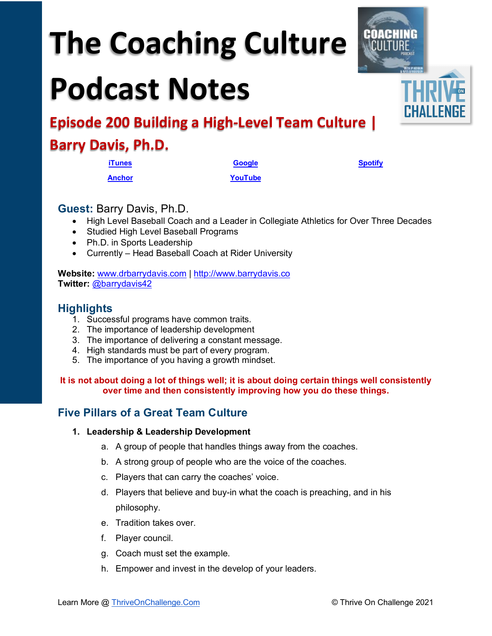# **The Coaching Culture**

## **Podcast Notes**



### **Barry Davis, Ph.D.**

**[iTunes](https://tinyurl.com/y68cvd4x) [Google](https://tinyurl.com/xhduf9bw) [Spotify](https://tinyurl.com/3sf9cp5h) [Anchor](https://tinyurl.com/4yhexz6d) [YouTube](https://youtu.be/STN5DkZaNMY)**

#### **Guest:** Barry Davis, Ph.D.

- High Level Baseball Coach and a Leader in Collegiate Athletics for Over Three Decades
- Studied High Level Baseball Programs
- Ph.D. in Sports Leadership
- Currently Head Baseball Coach at Rider University

**Website:** [www.drbarrydavis.com](http://www.drbarrydavis.com/) | [http://www.barrydavis.co](http://www.barrydavis.co/) **Twitter:** [@barrydavis42](https://twitter.com/BarryDavis42)

#### **Highlights**

- 1. Successful programs have common traits.
- 2. The importance of leadership development
- 3. The importance of delivering a constant message.
- 4. High standards must be part of every program.
- 5. The importance of you having a growth mindset.

**It is not about doing a lot of things well; it is about doing certain things well consistently over time and then consistently improving how you do these things.**

#### **Five Pillars of a Great Team Culture**

#### **1. Leadership & Leadership Development**

- a. A group of people that handles things away from the coaches.
- b. A strong group of people who are the voice of the coaches.
- c. Players that can carry the coaches' voice.
- d. Players that believe and buy-in what the coach is preaching, and in his philosophy.
- e. Tradition takes over.
- f. Player council.
- g. Coach must set the example.
- h. Empower and invest in the develop of your leaders.

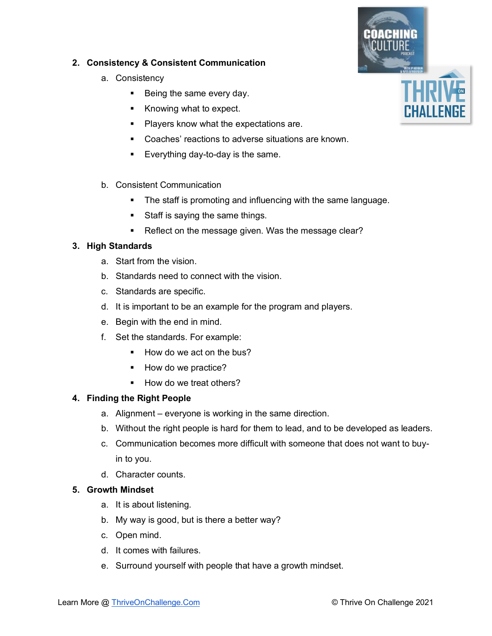

#### **2. Consistency & Consistent Communication**

- a. Consistency
	- Being the same every day.
	- Knowing what to expect.
	- **Players know what the expectations are.**
	- Coaches' reactions to adverse situations are known.
	- **Everything day-to-day is the same.**
- b. Consistent Communication
	- **The staff is promoting and influencing with the same language.**
	- Staff is saying the same things.
	- Reflect on the message given. Was the message clear?

#### **3. High Standards**

- a. Start from the vision.
- b. Standards need to connect with the vision.
- c. Standards are specific.
- d. It is important to be an example for the program and players.
- e. Begin with the end in mind.
- f. Set the standards. For example:
	- How do we act on the bus?
	- How do we practice?
	- How do we treat others?

#### **4. Finding the Right People**

- a. Alignment everyone is working in the same direction.
- b. Without the right people is hard for them to lead, and to be developed as leaders.
- c. Communication becomes more difficult with someone that does not want to buyin to you.
- d. Character counts.

#### **5. Growth Mindset**

- a. It is about listening.
- b. My way is good, but is there a better way?
- c. Open mind.
- d. It comes with failures.
- e. Surround yourself with people that have a growth mindset.